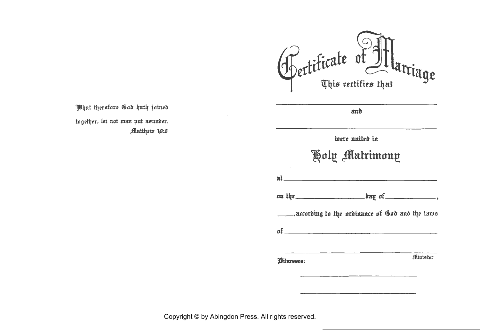Pertiticate of It tarriage

and

What therefore God hath joined together, let not man put asunder. Matthew 19:6

| _____, according to the ordinance of God and the laws |
|-------------------------------------------------------|
|                                                       |
| Minister                                              |
|                                                       |

Copyright © by Abingdon Press. All rights reserved.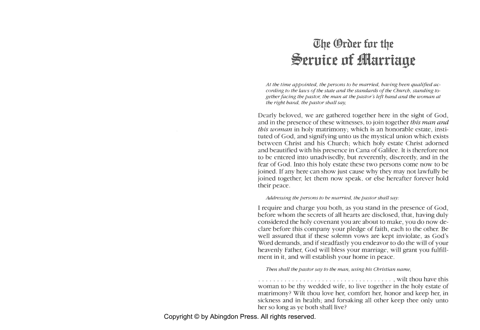# *<u>Whe</u> Order for the* ~eruire **nf marriage**

*At the time appointed, the persons to be married, having been qualified according to the laws of the state and the standards of the Church, standing together facing the pastor, the man at the pastor's left band and the woman at the right band, the pastor shall say,* 

Dearly beloved, we are gathered together here in the sight of God, and in the presence of these witnesses, to join together *this man and this woman* in holy matrimony; which is an honorable estate, instituted of God, and signifying unto us the mystical union which exists between Christ and his Church; which holy estate Christ adorned and beautified with his presence in Cana of Galilee. It is therefore not to be entered into unadvisedly, but reverently, discreetly, and in the fear of God. Into this holy estate these two persons come now to be joined. If any here can show just cause why they may not lawfully be joined together, let them now speak, or else hereafter forever hold their peace.

#### *Addressing the persons to be married, the pastor shall say:*

I require and charge you both, as you stand in the presence of God, before whom the secrets of all hearts are disclosed, that, having duly considered the holy covenant you are about to make, you do now declare before this company your pledge of faith, each to the other. Be well assured that if these solemn vows are kept inviolate, as God's Word demands, and if steadfastly you endeavor to do the will of your heavenly Father, God will bless your marriage, will grant you fulfillment in it, and will establish your home in peace.

*Then shall the pastor say to the man, using his Christian name,* 

. . . . . . . . . . . . . . . . . . . . . . . . . . . . . . . . . . . . , wilt thou have this woman to be thy wedded wife, to live together in the holy estate of matrimony? Wilt thou love her, comfort her, honor and keep her, in sickness and in health; and forsaking all other keep thee only unto her so long as ye both shall live?

Copyright © by Abingdon Press. All rights reserved.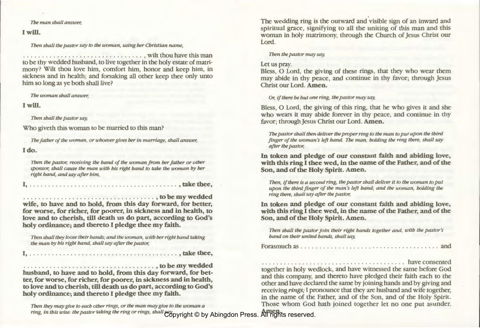#### *The man shall answer,*

## I will.

Then *shall the pastor say to the woman, using her Christian name,* 

. . . . . . . . . . . . . . . . . . . . . . . . . . . . . . . . , wilt thou have this man to be thy wedded husband, to live together in the holy estate of matrimony? Wilt thou love him, comfort him, honor and keep him, in sickness and in health; and forsaking all other keep thee only unto him so long as ye both shall live?

*The woman shall answer,* 

## I will.

Then *shall the pastor say,* 

Who giveth this woman to be married to this man?

*The father of the woman, or whoever gives her in marriage, shall answer,* 

# I do.

Then *the pastor, receiving the band of the woman from her father or other sponsor, shall cause the man with his right band to take the woman by her right band, and say after him,* 

I, .. .. ....................... . ............ , take thee,

............. . ... .................. , to be my wedded wife, to have and to hold, from this day forward, for better, for worse, for richer, for poorer, in sickness and in health, to love and to cherish, till death us do part, according to God's holy ordinance; and thereto I pledge thee my faith.

Then shall they loose their hands; and the woman, with her right hand taking *the man by his right band, shall say after the pastor,* 

I, . . . . . . . . . . . . . . . . . . . . . . . . . . . . . . . . . . . . . . . . , take thee,

................................... , to be my wedded husband, to have and to hold, from this day forward, for better, for worse, for richer, for poorer, in sickness and in health, to love and to cherish, till death us do part, according to God's holy ordinance; and thereto I pledge thee my faith.

Then *they may give to each other rings, or the man may give to the woman a ring, in this wise: the pastor taking the ring or rings, shall say,*  Amen. Copyright © by Abingdon Press. All rights reserved.

The wedding ring is the outward and visible sign of an inward and spiritual grace, signifying to all the uniting of this man and this woman in holy matrimony, through the Church of jesus Christ our Lord.

#### Then *the pastor may say,*

### Let us pray.

Bless, 0 Lord, the giving of these rings, that they who wear them may abide in thy peace, and continue in thy favor; through jesus Christ our Lord. Amen.

Or, if *there be but one ring, the pastor may say,* 

Bless, 0 Lord, the giving of this ring, that he who gives it and she who wears it may abide forever in thy peace, and continue in thy favor; through jesus Christ our Lord. Amen.

*The pastor shall then deliver the proper ring to the man to put upon the third*  finger of the woman's left hand. The man, holding the ring there, shall say *after the pastor,* 

In token and pledge of our constant faith and abiding love, with this ring I thee wed, in the name of the Father, and of the Son, and of the Holy Spirit. Amen.

*Then,* if *there is a second ring, the pastor shall deliver it to the woman to put*  upon the third finger of the man's left hand; and the woman, holding the *ring there, shall say after the pastor,* 

In token and pledge of our constant faith and abiding love, with this ring I thee wed, in the name of the Father, and of the Son, and of the Holy Spirit. Amen.

Then shall the pastor join their right hands together and, with the pastor's *band on their united bands, shall say,* 

|--|--|--|--|--|

. . . . . . . . . . . . . . . . . . . . . . . . . . . . . . . . . . . . . . . have consented

together in holy wedlock, and have witnessed the same before God and this company, and thereto have pledged their faith each to the other and have declared the same by joining hands and by giving and receiving *rings;* I pronounce that they are husband and wife together, in the name of the Father, and of the Son, and of the Holy Spirit. Those whom God hath joined together let no one put asunder.